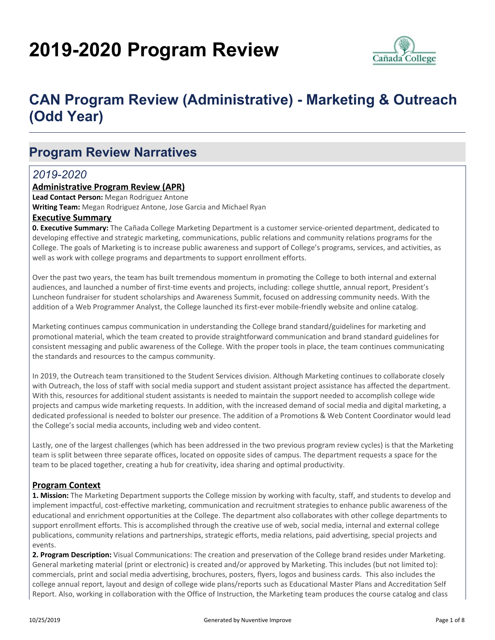# **2019-2020 Program Review**



# **CAN Program Review (Administrative) - Marketing & Outreach (Odd Year)**

## **Program Review Narratives**

#### *2019-2020*

#### **Administrative Program Review (APR)**

**Lead Contact Person:** Megan Rodriguez Antone

**Writing Team:** Megan Rodriguez Antone, Jose Garcia and Michael Ryan

#### **Executive Summary**

**0. Executive Summary:** The Cañada College Marketing Department is a customer service-oriented department, dedicated to developing effective and strategic marketing, communications, public relations and community relations programs for the College. The goals of Marketing is to increase public awareness and support of College's programs, services, and activities, as well as work with college programs and departments to support enrollment efforts.

Over the past two years, the team has built tremendous momentum in promoting the College to both internal and external audiences, and launched a number of first-time events and projects, including: college shuttle, annual report, President's Luncheon fundraiser for student scholarships and Awareness Summit, focused on addressing community needs. With the addition of a Web Programmer Analyst, the College launched its first-ever mobile-friendly website and online catalog.

Marketing continues campus communication in understanding the College brand standard/guidelines for marketing and promotional material, which the team created to provide straightforward communication and brand standard guidelines for consistent messaging and public awareness of the College. With the proper tools in place, the team continues communicating the standards and resources to the campus community.

In 2019, the Outreach team transitioned to the Student Services division. Although Marketing continues to collaborate closely with Outreach, the loss of staff with social media support and student assistant project assistance has affected the department. With this, resources for additional student assistants is needed to maintain the support needed to accomplish college wide projects and campus wide marketing requests. In addition, with the increased demand of social media and digital marketing, a dedicated professional is needed to bolster our presence. The addition of a Promotions & Web Content Coordinator would lead the College's social media accounts, including web and video content.

Lastly, one of the largest challenges (which has been addressed in the two previous program review cycles) is that the Marketing team is split between three separate offices, located on opposite sides of campus. The department requests a space for the team to be placed together, creating a hub for creativity, idea sharing and optimal productivity.

#### **Program Context**

**1. Mission:** The Marketing Department supports the College mission by working with faculty, staff, and students to develop and implement impactful, cost-effective marketing, communication and recruitment strategies to enhance public awareness of the educational and enrichment opportunities at the College. The department also collaborates with other college departments to support enrollment efforts. This is accomplished through the creative use of web, social media, internal and external college publications, community relations and partnerships, strategic efforts, media relations, paid advertising, special projects and events.

**2. Program Description:** Visual Communications: The creation and preservation of the College brand resides under Marketing. General marketing material (print or electronic) is created and/or approved by Marketing. This includes (but not limited to): commercials, print and social media advertising, brochures, posters, flyers, logos and business cards. This also includes the college annual report, layout and design of college wide plans/reports such as Educational Master Plans and Accreditation Self Report. Also, working in collaboration with the Office of Instruction, the Marketing team produces the course catalog and class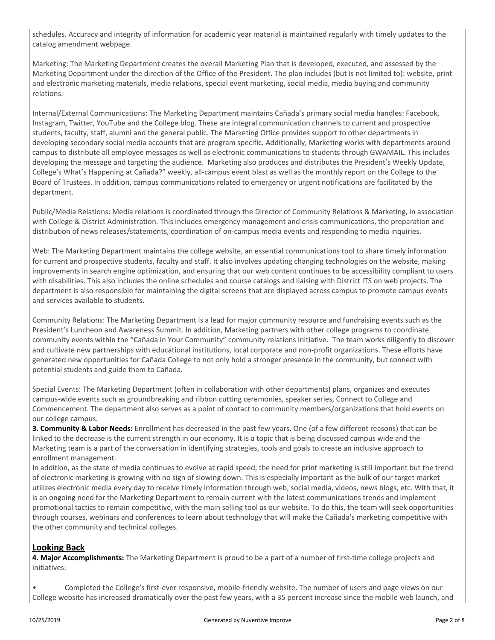schedules. Accuracy and integrity of information for academic year material is maintained regularly with timely updates to the catalog amendment webpage.

Marketing: The Marketing Department creates the overall Marketing Plan that is developed, executed, and assessed by the Marketing Department under the direction of the Office of the President. The plan includes (but is not limited to): website, print and electronic marketing materials, media relations, special event marketing, social media, media buying and community relations.

Internal/External Communications: The Marketing Department maintains Cañada's primary social media handles: Facebook, Instagram, Twitter, YouTube and the College blog. These are integral communication channels to current and prospective students, faculty, staff, alumni and the general public. The Marketing Office provides support to other departments in developing secondary social media accounts that are program specific. Additionally, Marketing works with departments around campus to distribute all employee messages as well as electronic communications to students through GWAMAIL. This includes developing the message and targeting the audience. Marketing also produces and distributes the President's Weekly Update, College's What's Happening at Cañada?" weekly, all-campus event blast as well as the monthly report on the College to the Board of Trustees. In addition, campus communications related to emergency or urgent notifications are facilitated by the department.

Public/Media Relations: Media relations is coordinated through the Director of Community Relations & Marketing, in association with College & District Administration. This includes emergency management and crisis communications, the preparation and distribution of news releases/statements, coordination of on-campus media events and responding to media inquiries.

Web: The Marketing Department maintains the college website, an essential communications tool to share timely information for current and prospective students, faculty and staff. It also involves updating changing technologies on the website, making improvements in search engine optimization, and ensuring that our web content continues to be accessibility compliant to users with disabilities. This also includes the online schedules and course catalogs and liaising with District ITS on web projects. The department is also responsible for maintaining the digital screens that are displayed across campus to promote campus events and services available to students.

Community Relations: The Marketing Department is a lead for major community resource and fundraising events such as the President's Luncheon and Awareness Summit. In addition, Marketing partners with other college programs to coordinate community events within the "Cañada in Your Community" community relations initiative. The team works diligently to discover and cultivate new partnerships with educational institutions, local corporate and non-profit organizations. These efforts have generated new opportunities for Cañada College to not only hold a stronger presence in the community, but connect with potential students and guide them to Cañada.

Special Events: The Marketing Department (often in collaboration with other departments) plans, organizes and executes campus-wide events such as groundbreaking and ribbon cutting ceremonies, speaker series, Connect to College and Commencement. The department also serves as a point of contact to community members/organizations that hold events on our college campus.

**3. Community & Labor Needs:** Enrollment has decreased in the past few years. One (of a few different reasons) that can be linked to the decrease is the current strength in our economy. It is a topic that is being discussed campus wide and the Marketing team is a part of the conversation in identifying strategies, tools and goals to create an inclusive approach to enrollment management.

In addition, as the state of media continues to evolve at rapid speed, the need for print marketing is still important but the trend of electronic marketing is growing with no sign of slowing down. This is especially important as the bulk of our target market utilizes electronic media every day to receive timely information through web, social media, videos, news blogs, etc. With that, it is an ongoing need for the Marketing Department to remain current with the latest communications trends and implement promotional tactics to remain competitive, with the main selling tool as our website. To do this, the team will seek opportunities through courses, webinars and conferences to learn about technology that will make the Cañada's marketing competitive with the other community and technical colleges.

#### **Looking Back**

**4. Major Accomplishments:** The Marketing Department is proud to be a part of a number of first-time college projects and initiatives:

• Completed the College's first-ever responsive, mobile-friendly website. The number of users and page views on our College website has increased dramatically over the past few years, with a 35 percent increase since the mobile web launch, and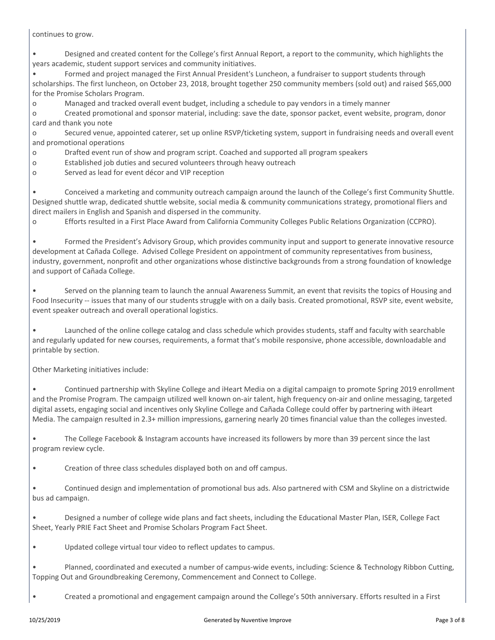continues to grow.

• Designed and created content for the College's first Annual Report, a report to the community, which highlights the years academic, student support services and community initiatives.

• Formed and project managed the First Annual President's Luncheon, a fundraiser to support students through scholarships. The first luncheon, on October 23, 2018, brought together 250 community members (sold out) and raised \$65,000 for the Promise Scholars Program.

o Managed and tracked overall event budget, including a schedule to pay vendors in a timely manner

o Created promotional and sponsor material, including: save the date, sponsor packet, event website, program, donor card and thank you note

o Secured venue, appointed caterer, set up online RSVP/ticketing system, support in fundraising needs and overall event and promotional operations

o Drafted event run of show and program script. Coached and supported all program speakers

o Established job duties and secured volunteers through heavy outreach

o Served as lead for event décor and VIP reception

• Conceived a marketing and community outreach campaign around the launch of the College's first Community Shuttle. Designed shuttle wrap, dedicated shuttle website, social media & community communications strategy, promotional fliers and direct mailers in English and Spanish and dispersed in the community.

o Efforts resulted in a First Place Award from California Community Colleges Public Relations Organization (CCPRO).

• Formed the President's Advisory Group, which provides community input and support to generate innovative resource development at Cañada College. Advised College President on appointment of community representatives from business, industry, government, nonprofit and other organizations whose distinctive backgrounds from a strong foundation of knowledge and support of Cañada College.

• Served on the planning team to launch the annual Awareness Summit, an event that revisits the topics of Housing and Food Insecurity -- issues that many of our students struggle with on a daily basis. Created promotional, RSVP site, event website, event speaker outreach and overall operational logistics.

• Launched of the online college catalog and class schedule which provides students, staff and faculty with searchable and regularly updated for new courses, requirements, a format that's mobile responsive, phone accessible, downloadable and printable by section.

Other Marketing initiatives include:

• Continued partnership with Skyline College and iHeart Media on a digital campaign to promote Spring 2019 enrollment and the Promise Program. The campaign utilized well known on-air talent, high frequency on-air and online messaging, targeted digital assets, engaging social and incentives only Skyline College and Cañada College could offer by partnering with iHeart Media. The campaign resulted in 2.3+ million impressions, garnering nearly 20 times financial value than the colleges invested.

• The College Facebook & Instagram accounts have increased its followers by more than 39 percent since the last program review cycle.

• Creation of three class schedules displayed both on and off campus.

• Continued design and implementation of promotional bus ads. Also partnered with CSM and Skyline on a districtwide bus ad campaign.

• Designed a number of college wide plans and fact sheets, including the Educational Master Plan, ISER, College Fact Sheet, Yearly PRIE Fact Sheet and Promise Scholars Program Fact Sheet.

• Updated college virtual tour video to reflect updates to campus.

• Planned, coordinated and executed a number of campus-wide events, including: Science & Technology Ribbon Cutting, Topping Out and Groundbreaking Ceremony, Commencement and Connect to College.

• Created a promotional and engagement campaign around the College's 50th anniversary. Efforts resulted in a First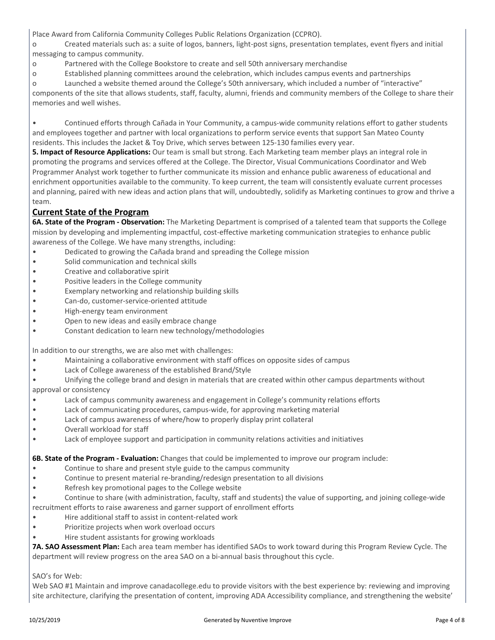Place Award from California Community Colleges Public Relations Organization (CCPRO).

o Created materials such as: a suite of logos, banners, light-post signs, presentation templates, event flyers and initial messaging to campus community.

- o Partnered with the College Bookstore to create and sell 50th anniversary merchandise
- o Established planning committees around the celebration, which includes campus events and partnerships
- o Launched a website themed around the College's 50th anniversary, which included a number of "interactive"

components of the site that allows students, staff, faculty, alumni, friends and community members of the College to share their memories and well wishes.

• Continued efforts through Cañada in Your Community, a campus-wide community relations effort to gather students and employees together and partner with local organizations to perform service events that support San Mateo County residents. This includes the Jacket & Toy Drive, which serves between 125-130 families every year.

**5. Impact of Resource Applications:** Our team is small but strong. Each Marketing team member plays an integral role in promoting the programs and services offered at the College. The Director, Visual Communications Coordinator and Web Programmer Analyst work together to further communicate its mission and enhance public awareness of educational and enrichment opportunities available to the community. To keep current, the team will consistently evaluate current processes and planning, paired with new ideas and action plans that will, undoubtedly, solidify as Marketing continues to grow and thrive a team.

#### **Current State of the Program**

**6A. State of the Program - Observation:** The Marketing Department is comprised of a talented team that supports the College mission by developing and implementing impactful, cost-effective marketing communication strategies to enhance public awareness of the College. We have many strengths, including:

- Dedicated to growing the Cañada brand and spreading the College mission
- Solid communication and technical skills
- Creative and collaborative spirit
- Positive leaders in the College community
- Exemplary networking and relationship building skills
- Can-do, customer-service-oriented attitude
- High-energy team environment
- Open to new ideas and easily embrace change
- Constant dedication to learn new technology/methodologies

In addition to our strengths, we are also met with challenges:

- Maintaining a collaborative environment with staff offices on opposite sides of campus
- Lack of College awareness of the established Brand/Style
- Unifying the college brand and design in materials that are created within other campus departments without approval or consistency
- Lack of campus community awareness and engagement in College's community relations efforts
- Lack of communicating procedures, campus-wide, for approving marketing material
- Lack of campus awareness of where/how to properly display print collateral
- Overall workload for staff
- Lack of employee support and participation in community relations activities and initiatives

**6B. State of the Program - Evaluation:** Changes that could be implemented to improve our program include:

- Continue to share and present style guide to the campus community
- Continue to present material re-branding/redesign presentation to all divisions
- Refresh key promotional pages to the College website
- Continue to share (with administration, faculty, staff and students) the value of supporting, and joining college-wide recruitment efforts to raise awareness and garner support of enrollment efforts
- Hire additional staff to assist in content-related work
- Prioritize projects when work overload occurs
- Hire student assistants for growing workloads

**7A. SAO Assessment Plan:** Each area team member has identified SAOs to work toward during this Program Review Cycle. The department will review progress on the area SAO on a bi-annual basis throughout this cycle.

SAO's for Web:

Web SAO #1 Maintain and improve canadacollege.edu to provide visitors with the best experience by: reviewing and improving site architecture, clarifying the presentation of content, improving ADA Accessibility compliance, and strengthening the website'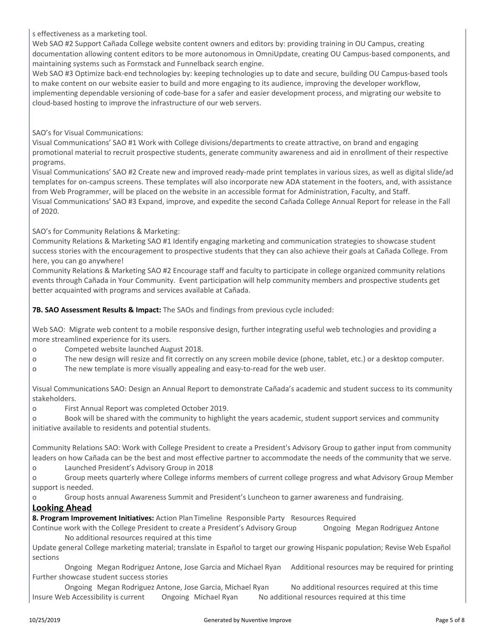s effectiveness as a marketing tool.

Web SAO #2 Support Cañada College website content owners and editors by: providing training in OU Campus, creating documentation allowing content editors to be more autonomous in OmniUpdate, creating OU Campus-based components, and maintaining systems such as Formstack and Funnelback search engine.

Web SAO #3 Optimize back-end technologies by: keeping technologies up to date and secure, building OU Campus-based tools to make content on our website easier to build and more engaging to its audience, improving the developer workflow, implementing dependable versioning of code-base for a safer and easier development process, and migrating our website to cloud-based hosting to improve the infrastructure of our web servers.

SAO's for Visual Communications:

Visual Communications' SAO #1 Work with College divisions/departments to create attractive, on brand and engaging promotional material to recruit prospective students, generate community awareness and aid in enrollment of their respective programs.

Visual Communications' SAO #2 Create new and improved ready-made print templates in various sizes, as well as digital slide/ad templates for on-campus screens. These templates will also incorporate new ADA statement in the footers, and, with assistance from Web Programmer, will be placed on the website in an accessible format for Administration, Faculty, and Staff. Visual Communications' SAO #3 Expand, improve, and expedite the second Cañada College Annual Report for release in the Fall of 2020.

SAO's for Community Relations & Marketing:

Community Relations & Marketing SAO #1 Identify engaging marketing and communication strategies to showcase student success stories with the encouragement to prospective students that they can also achieve their goals at Cañada College. From here, you can go anywhere!

Community Relations & Marketing SAO #2 Encourage staff and faculty to participate in college organized community relations events through Cañada in Your Community. Event participation will help community members and prospective students get better acquainted with programs and services available at Cañada.

**7B. SAO Assessment Results & Impact:** The SAOs and findings from previous cycle included:

Web SAO: Migrate web content to a mobile responsive design, further integrating useful web technologies and providing a more streamlined experience for its users.

o Competed website launched August 2018.

o The new design will resize and fit correctly on any screen mobile device (phone, tablet, etc.) or a desktop computer.

o The new template is more visually appealing and easy-to-read for the web user.

Visual Communications SAO: Design an Annual Report to demonstrate Cañada's academic and student success to its community stakeholders.

o First Annual Report was completed October 2019.

o Book will be shared with the community to highlight the years academic, student support services and community initiative available to residents and potential students.

Community Relations SAO: Work with College President to create a President's Advisory Group to gather input from community leaders on how Cañada can be the best and most effective partner to accommodate the needs of the community that we serve.

o Launched President's Advisory Group in 2018

o Group meets quarterly where College informs members of current college progress and what Advisory Group Member support is needed.

o Group hosts annual Awareness Summit and President's Luncheon to garner awareness and fundraising.

#### **Looking Ahead**

**8. Program Improvement Initiatives:** Action PlanTimeline Responsible Party Resources Required

Continue work with the College President to create a President's Advisory Group Ongoing Megan Rodriguez Antone No additional resources required at this time

Update general College marketing material; translate in Español to target our growing Hispanic population; Revise Web Español sections

Ongoing Megan Rodriguez Antone, Jose Garcia and Michael Ryan Additional resources may be required for printing Further showcase student success stories

Ongoing Megan Rodriguez Antone, Jose Garcia, Michael Ryan No additional resources required at this time Insure Web Accessibility is current Ongoing Michael Ryan No additional resources required at this time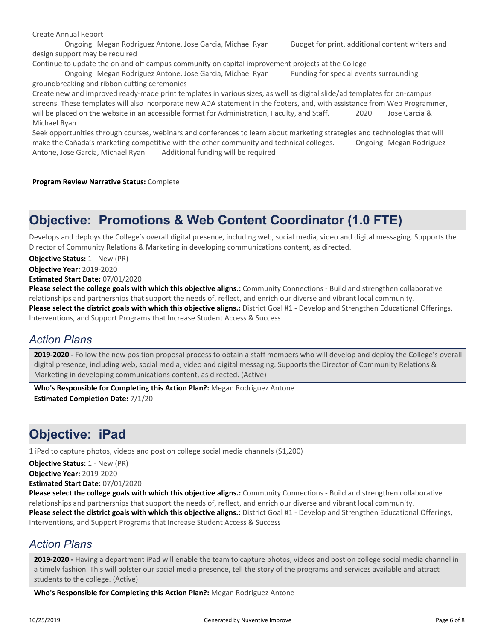Create Annual Report

Ongoing Megan Rodriguez Antone, Jose Garcia, Michael Ryan Budget for print, additional content writers and design support may be required

Continue to update the on and off campus community on capital improvement projects at the College

Ongoing Megan Rodriguez Antone, Jose Garcia, Michael Ryan Funding for special events surrounding groundbreaking and ribbon cutting ceremonies

Create new and improved ready-made print templates in various sizes, as well as digital slide/ad templates for on-campus screens. These templates will also incorporate new ADA statement in the footers, and, with assistance from Web Programmer, will be placed on the website in an accessible format for Administration, Faculty, and Staff. 2020 Jose Garcia & Michael Ryan

Seek opportunities through courses, webinars and conferences to learn about marketing strategies and technologies that will make the Cañada's marketing competitive with the other community and technical colleges. Ongoing Megan Rodriguez Antone, Jose Garcia, Michael Ryan Additional funding will be required

**Program Review Narrative Status:** Complete

## **Objective: Promotions & Web Content Coordinator (1.0 FTE)**

Develops and deploys the College's overall digital presence, including web, social media, video and digital messaging. Supports the Director of Community Relations & Marketing in developing communications content, as directed.

**Objective Status:** 1 - New (PR)

**Objective Year:** 2019-2020

**Estimated Start Date:** 07/01/2020

**Please select the college goals with which this objective aligns.:** Community Connections - Build and strengthen collaborative relationships and partnerships that support the needs of, reflect, and enrich our diverse and vibrant local community. **Please select the district goals with which this objective aligns.:** District Goal #1 - Develop and Strengthen Educational Offerings, Interventions, and Support Programs that Increase Student Access & Success

#### *Action Plans*

**2019-2020 -** Follow the new position proposal process to obtain a staff members who will develop and deploy the College's overall digital presence, including web, social media, video and digital messaging. Supports the Director of Community Relations & Marketing in developing communications content, as directed. (Active)

**Who's Responsible for Completing this Action Plan?:** Megan Rodriguez Antone **Estimated Completion Date:** 7/1/20

# **Objective: iPad**

1 iPad to capture photos, videos and post on college social media channels (\$1,200)

**Objective Status:** 1 - New (PR)

**Objective Year:** 2019-2020

**Estimated Start Date:** 07/01/2020

**Please select the college goals with which this objective aligns.:** Community Connections - Build and strengthen collaborative relationships and partnerships that support the needs of, reflect, and enrich our diverse and vibrant local community. **Please select the district goals with which this objective aligns.:** District Goal #1 - Develop and Strengthen Educational Offerings, Interventions, and Support Programs that Increase Student Access & Success

### *Action Plans*

**2019-2020 -** Having a department iPad will enable the team to capture photos, videos and post on college social media channel in a timely fashion. This will bolster our social media presence, tell the story of the programs and services available and attract students to the college. (Active)

**Who's Responsible for Completing this Action Plan?:** Megan Rodriguez Antone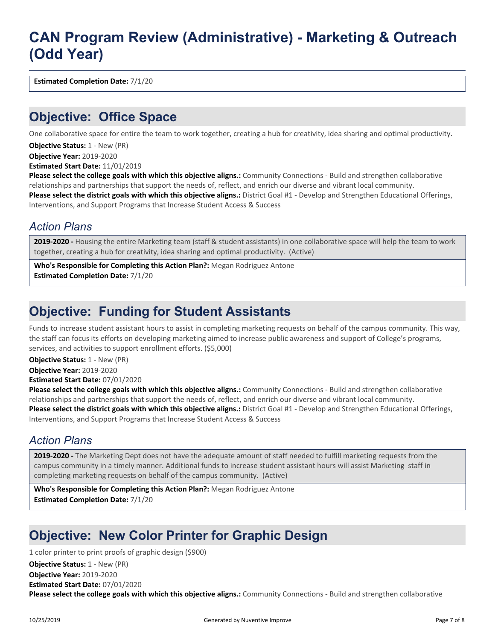# **CAN Program Review (Administrative) - Marketing & Outreach (Odd Year)**

**Estimated Completion Date:** 7/1/20

### **Objective: Office Space**

One collaborative space for entire the team to work together, creating a hub for creativity, idea sharing and optimal productivity.

**Objective Status: 1 - New (PR)** 

**Objective Year:** 2019-2020

**Estimated Start Date:** 11/01/2019

**Please select the college goals with which this objective aligns.:** Community Connections - Build and strengthen collaborative relationships and partnerships that support the needs of, reflect, and enrich our diverse and vibrant local community. **Please select the district goals with which this objective aligns.:** District Goal #1 - Develop and Strengthen Educational Offerings, Interventions, and Support Programs that Increase Student Access & Success

#### *Action Plans*

**2019-2020 -** Housing the entire Marketing team (staff & student assistants) in one collaborative space will help the team to work together, creating a hub for creativity, idea sharing and optimal productivity. (Active)

**Who's Responsible for Completing this Action Plan?:** Megan Rodriguez Antone **Estimated Completion Date:** 7/1/20

## **Objective: Funding for Student Assistants**

Funds to increase student assistant hours to assist in completing marketing requests on behalf of the campus community. This way, the staff can focus its efforts on developing marketing aimed to increase public awareness and support of College's programs, services, and activities to support enrollment efforts. (\$5,000)

**Objective Status:** 1 - New (PR)

**Objective Year:** 2019-2020

**Estimated Start Date:** 07/01/2020

**Please select the college goals with which this objective aligns.:** Community Connections - Build and strengthen collaborative relationships and partnerships that support the needs of, reflect, and enrich our diverse and vibrant local community. **Please select the district goals with which this objective aligns.:** District Goal #1 - Develop and Strengthen Educational Offerings, Interventions, and Support Programs that Increase Student Access & Success

### *Action Plans*

**2019-2020 -** The Marketing Dept does not have the adequate amount of staff needed to fulfill marketing requests from the campus community in a timely manner. Additional funds to increase student assistant hours will assist Marketing staff in completing marketing requests on behalf of the campus community. (Active)

**Who's Responsible for Completing this Action Plan?:** Megan Rodriguez Antone **Estimated Completion Date:** 7/1/20

# **Objective: New Color Printer for Graphic Design**

1 color printer to print proofs of graphic design (\$900)

**Please select the college goals with which this objective aligns.:** Community Connections - Build and strengthen collaborative **Objective Year:** 2019-2020 **Estimated Start Date:** 07/01/2020 **Objective Status:** 1 - New (PR)